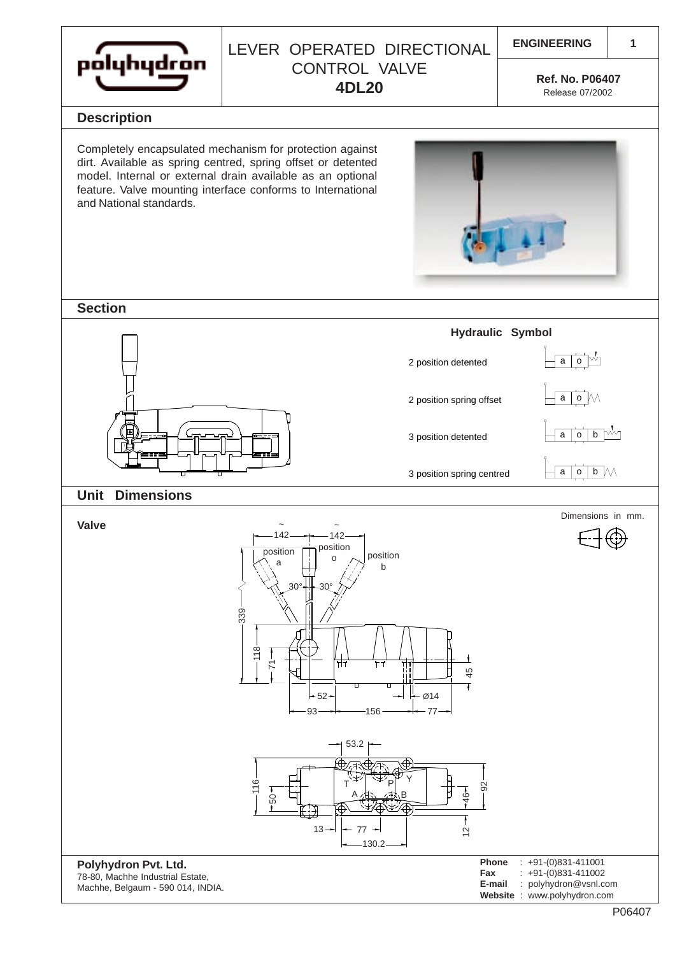

# LEVER OPERATED DIRECTIONAL **ENGINEERING** CONTROL VALVE **4DL20 Ref. No. P06407**<br>**4DL20 Reference**

Release 07/2002

### **Description**

Completely encapsulated mechanism for protection against dirt. Available as spring centred, spring offset or detented model. Internal or external drain available as an optional feature. Valve mounting interface conforms to International and National standards.



### **Unit Dimensions Section** 3 position detented 3 position spring centred o  $\overline{\circ}$ a  $\overline{a}$ 2 position detented 2 position spring offset  $a \mid o$ b  $\overline{b}$  M **Hydraulic Symbol**

~

~

**Valve**

Dimensions in mm.



#### **Polyhydron Pvt. Ltd.** 78-80, Machhe Industrial Estate, Machhe, Belgaum - 590 014, INDIA.

**Phone** : +91-(0)831-411001<br>**Fax** : +91-(0)831-411002 **Fax** : +91-(0)831-411002

| E-mail | : polyhydron@vsnl.com       |
|--------|-----------------------------|
|        | Website: www.polyhydron.com |
|        |                             |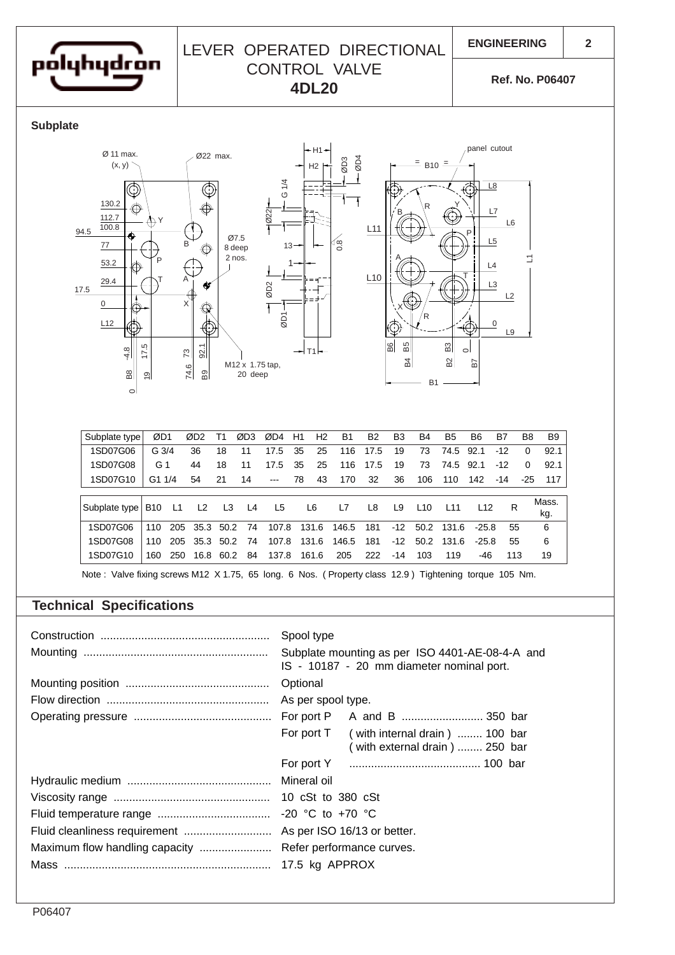

## LEVER OPERATED DIRECTIONAL **ENGINEERING** CONTROL VALVE **4DL20 Ref. No. P06407**

**2**

**Subplate**



## **Technical Specifications**

|                                                           | Spool type<br>Subplate mounting as per ISO 4401-AE-08-4-A and<br>IS - 10187 - 20 mm diameter nominal port. |                                                                  |  |  |
|-----------------------------------------------------------|------------------------------------------------------------------------------------------------------------|------------------------------------------------------------------|--|--|
|                                                           | Optional                                                                                                   |                                                                  |  |  |
|                                                           | As per spool type.                                                                                         |                                                                  |  |  |
|                                                           |                                                                                                            |                                                                  |  |  |
|                                                           | For port T                                                                                                 | (with internal drain)  100 bar<br>(with external drain)  250 bar |  |  |
|                                                           |                                                                                                            |                                                                  |  |  |
|                                                           |                                                                                                            |                                                                  |  |  |
|                                                           |                                                                                                            |                                                                  |  |  |
|                                                           | $-20$ °C to $+70$ °C                                                                                       |                                                                  |  |  |
|                                                           |                                                                                                            |                                                                  |  |  |
| Maximum flow handling capacity  Refer performance curves. |                                                                                                            |                                                                  |  |  |
|                                                           | 17.5 kg APPROX                                                                                             |                                                                  |  |  |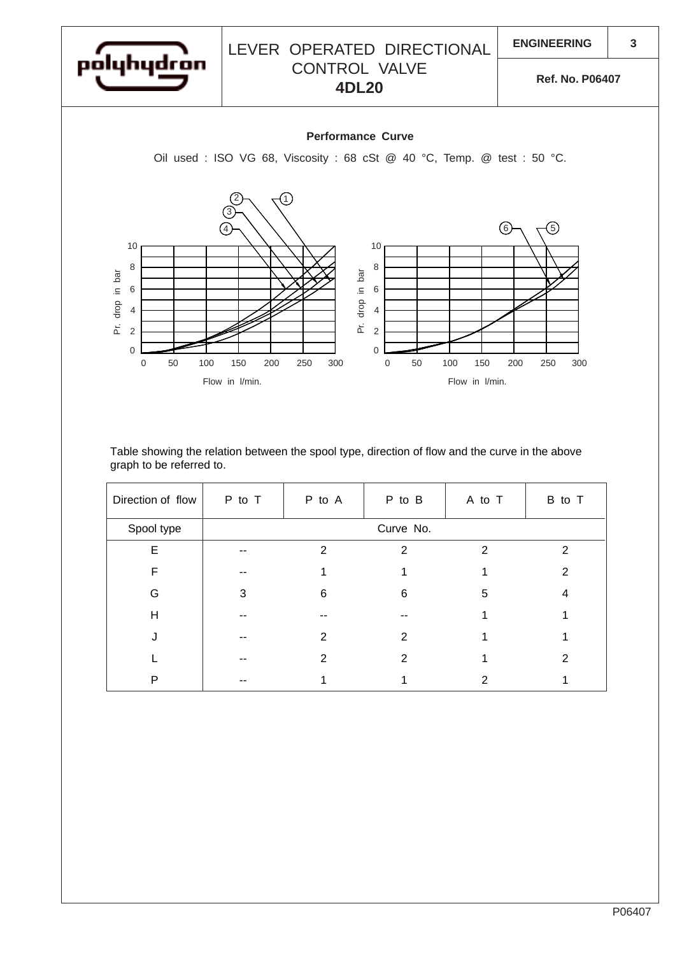

Table showing the relation between the spool type, direction of flow and the curve in the above graph to be referred to.

| Direction of flow | P to T    | P to A        | P to B | A to T | B to T        |  |  |  |  |
|-------------------|-----------|---------------|--------|--------|---------------|--|--|--|--|
| Spool type        | Curve No. |               |        |        |               |  |  |  |  |
| E                 |           | 2             | 2      | 2      | 2             |  |  |  |  |
| F                 | $- -$     |               |        |        | 2             |  |  |  |  |
| G                 | 3         | 6             | 6      | 5      | 4             |  |  |  |  |
| H                 |           |               |        |        |               |  |  |  |  |
| J                 | --        | 2             | 2      |        |               |  |  |  |  |
|                   | --        | $\mathcal{P}$ | 2      |        | $\mathcal{P}$ |  |  |  |  |
| P                 |           |               |        | 2      |               |  |  |  |  |